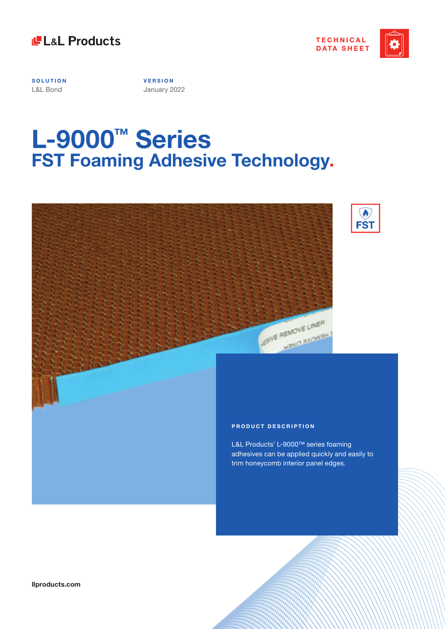



**SOLUTION** L&L Bond

**V E R S I O N**  January 2022

# **L-9000™ Series FST Foaming Adhesive Technology.**





L&L Products' L-9000™ series foaming adhesives can be applied quickly and easily to trim honeycomb interior panel edges.

**SUVE REMOVE LINER** 

HEMOVE LAN

**llproducts.com**